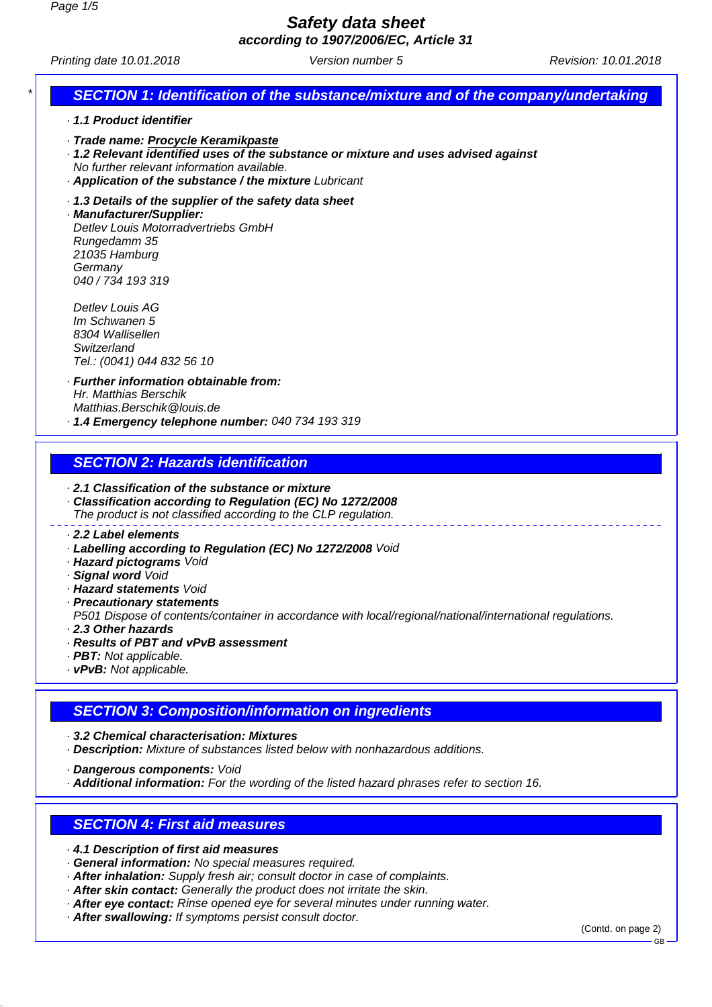**Safety data sheet**

**according to 1907/2006/EC, Article 31**

Printing date 10.01.2018 **Version number 5** Revision: 10.01.2018

# **SECTION 1: Identification of the substance/mixture and of the company/undertaking**

- · **1.1 Product identifier**
- · **Trade name: Procycle Keramikpaste**
- · **1.2 Relevant identified uses of the substance or mixture and uses advised against**
- No further relevant information available.
- · **Application of the substance / the mixture** Lubricant
- · **1.3 Details of the supplier of the safety data sheet**

· **Manufacturer/Supplier:** Detlev Louis Motorradvertriebs GmbH Rungedamm 35 21035 Hamburg **Germany** 040 / 734 193 319

Detlev Louis AG Im Schwanen 5 8304 Wallisellen **Switzerland** Tel.: (0041) 044 832 56 10

· **Further information obtainable from:** Hr. Matthias Berschik Matthias.Berschik@louis.de · **1.4 Emergency telephone number:** 040 734 193 319

#### **SECTION 2: Hazards identification**

- · **2.1 Classification of the substance or mixture**
- · **Classification according to Regulation (EC) No 1272/2008** The product is not classified according to the CLP regulation.

#### · **2.2 Label elements**

- · **Labelling according to Regulation (EC) No 1272/2008** Void
- · **Hazard pictograms** Void
- · **Signal word** Void
- · **Hazard statements** Void
- · **Precautionary statements**

P501 Dispose of contents/container in accordance with local/regional/national/international regulations. · **2.3 Other hazards**

- 
- · **Results of PBT and vPvB assessment**
- · **PBT:** Not applicable.
- · **vPvB:** Not applicable.

#### **SECTION 3: Composition/information on ingredients**

· **3.2 Chemical characterisation: Mixtures**

· **Description:** Mixture of substances listed below with nonhazardous additions.

· **Dangerous components:** Void

· **Additional information:** For the wording of the listed hazard phrases refer to section 16.

#### **SECTION 4: First aid measures**

- · **4.1 Description of first aid measures**
- · **General information:** No special measures required.
- · **After inhalation:** Supply fresh air; consult doctor in case of complaints.
- · **After skin contact:** Generally the product does not irritate the skin.
- · **After eye contact:** Rinse opened eye for several minutes under running water.
- · **After swallowing:** If symptoms persist consult doctor.

(Contd. on page 2)

GB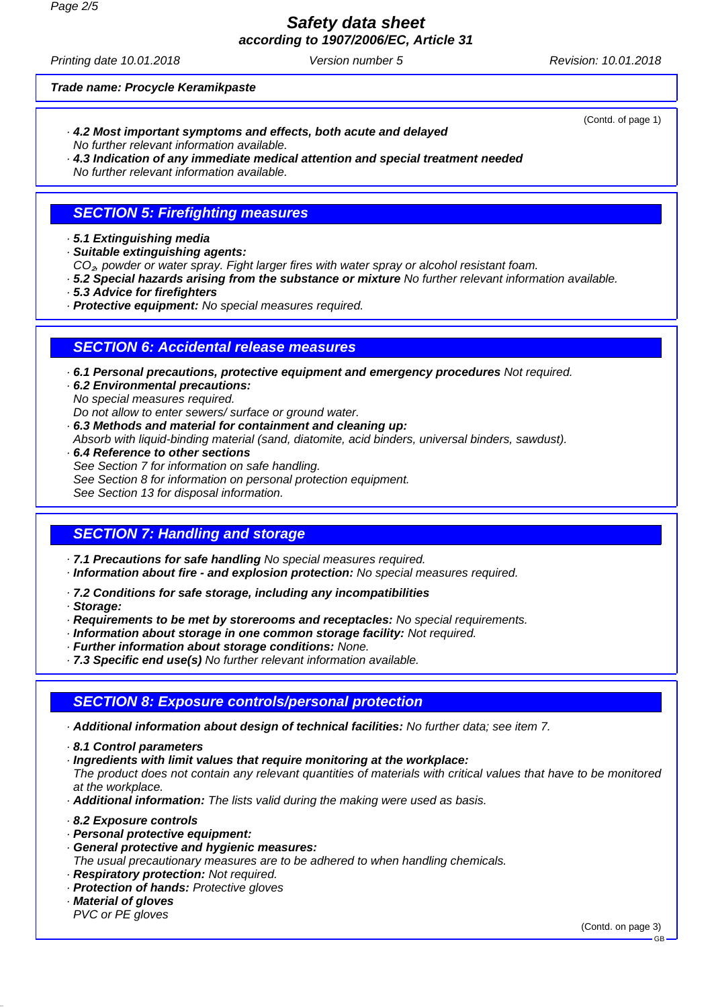# **Safety data sheet**

**according to 1907/2006/EC, Article 31**

Printing date 10.01.2018 **Version number 5** Revision: 10.01.2018

(Contd. of page 1)

#### **Trade name: Procycle Keramikpaste**

· **4.2 Most important symptoms and effects, both acute and delayed** No further relevant information available.

· **4.3 Indication of any immediate medical attention and special treatment needed** No further relevant information available.

# **SECTION 5: Firefighting measures**

#### · **5.1 Extinguishing media**

- · **Suitable extinguishing agents:**
- CO<sub>2</sub>, powder or water spray. Fight larger fires with water spray or alcohol resistant foam.
- · **5.2 Special hazards arising from the substance or mixture** No further relevant information available.
- · **5.3 Advice for firefighters**
- · **Protective equipment:** No special measures required.

#### **SECTION 6: Accidental release measures**

- · **6.1 Personal precautions, protective equipment and emergency procedures** Not required.
- · **6.2 Environmental precautions:** No special measures required.

Do not allow to enter sewers/ surface or ground water.

- · **6.3 Methods and material for containment and cleaning up:** Absorb with liquid-binding material (sand, diatomite, acid binders, universal binders, sawdust).
- · **6.4 Reference to other sections** See Section 7 for information on safe handling. See Section 8 for information on personal protection equipment. See Section 13 for disposal information.

#### **SECTION 7: Handling and storage**

- · **7.1 Precautions for safe handling** No special measures required.
- · **Information about fire and explosion protection:** No special measures required.
- · **7.2 Conditions for safe storage, including any incompatibilities**
- · **Storage:**
- · **Requirements to be met by storerooms and receptacles:** No special requirements.
- · **Information about storage in one common storage facility:** Not required.
- · **Further information about storage conditions:** None.
- · **7.3 Specific end use(s)** No further relevant information available.

# **SECTION 8: Exposure controls/personal protection**

- · **Additional information about design of technical facilities:** No further data; see item 7.
- · **8.1 Control parameters**
- · **Ingredients with limit values that require monitoring at the workplace:**

The product does not contain any relevant quantities of materials with critical values that have to be monitored at the workplace.

- · **Additional information:** The lists valid during the making were used as basis.
- · **8.2 Exposure controls**
- · **Personal protective equipment:**
- · **General protective and hygienic measures:**
- The usual precautionary measures are to be adhered to when handling chemicals.
- · **Respiratory protection:** Not required. · **Protection of hands:** Protective gloves
- 
- · **Material of gloves** PVC or PE gloves

(Contd. on page 3)

GB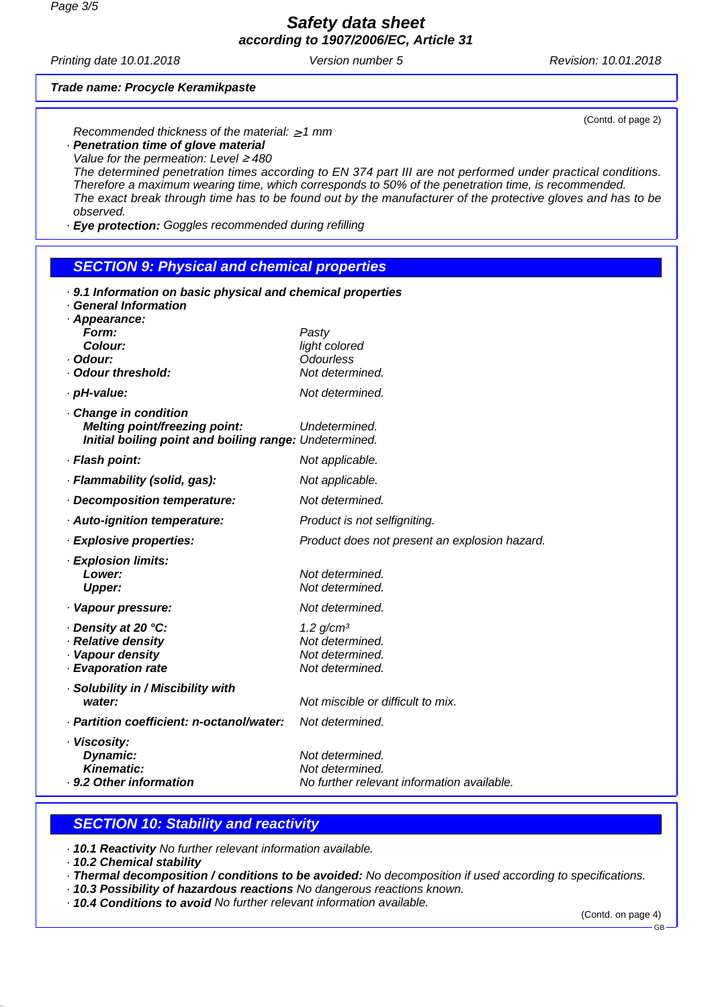**Safety data sheet according to 1907/2006/EC, Article 31**

Printing date 10.01.2018 **Version number 5** Revision: 10.01.2018

#### **Trade name: Procycle Keramikpaste**

(Contd. of page 2)

Recommended thickness of the material:  $\geq 1$  mm · **Penetration time of glove material**

Value for the permeation: Level  $\geq$  480

The determined penetration times according to EN 374 part III are not performed under practical conditions. Therefore a maximum wearing time, which corresponds to 50% of the penetration time, is recommended. The exact break through time has to be found out by the manufacturer of the protective gloves and has to be observed.

· **Eye protection:** Goggles recommended during refilling

#### **SECTION 9: Physical and chemical properties**

| . 9.1 Information on basic physical and chemical properties              |                                                                                  |  |
|--------------------------------------------------------------------------|----------------------------------------------------------------------------------|--|
| <b>General Information</b><br>· Appearance:                              |                                                                                  |  |
| Form:                                                                    | Pasty                                                                            |  |
| Colour:                                                                  | light colored                                                                    |  |
| · Odour:                                                                 | <b>Odourless</b>                                                                 |  |
| · Odour threshold:                                                       | Not determined.                                                                  |  |
| · pH-value:                                                              | Not determined.                                                                  |  |
| Change in condition<br>Melting point/freezing point:                     | Undetermined.                                                                    |  |
| Initial boiling point and boiling range: Undetermined.                   |                                                                                  |  |
| · Flash point:                                                           | Not applicable.                                                                  |  |
| · Flammability (solid, gas):                                             | Not applicable.                                                                  |  |
| Decomposition temperature:                                               | Not determined.                                                                  |  |
| · Auto-ignition temperature:                                             | Product is not selfigniting.                                                     |  |
| · Explosive properties:                                                  | Product does not present an explosion hazard.                                    |  |
| · Explosion limits:                                                      |                                                                                  |  |
| Lower:                                                                   | Not determined.                                                                  |  |
| <b>Upper:</b>                                                            | Not determined.                                                                  |  |
| · Vapour pressure:                                                       | Not determined.                                                                  |  |
| Density at 20 °C:                                                        | 1.2 g/cm <sup>3</sup>                                                            |  |
| · Relative density                                                       | Not determined.                                                                  |  |
| · Vapour density                                                         | Not determined.                                                                  |  |
| · Evaporation rate                                                       | Not determined.                                                                  |  |
| · Solubility in / Miscibility with                                       |                                                                                  |  |
| water:                                                                   | Not miscible or difficult to mix.                                                |  |
| · Partition coefficient: n-octanol/water:                                | Not determined.                                                                  |  |
| · Viscosity:<br>Dynamic:<br><b>Kinematic:</b><br>. 9.2 Other information | Not determined.<br>Not determined.<br>No further relevant information available. |  |
|                                                                          |                                                                                  |  |

### **SECTION 10: Stability and reactivity**

· **10.1 Reactivity** No further relevant information available.

· **10.2 Chemical stability**

- · **Thermal decomposition / conditions to be avoided:** No decomposition if used according to specifications.
- · **10.3 Possibility of hazardous reactions** No dangerous reactions known.
- · **10.4 Conditions to avoid** No further relevant information available.

(Contd. on page 4)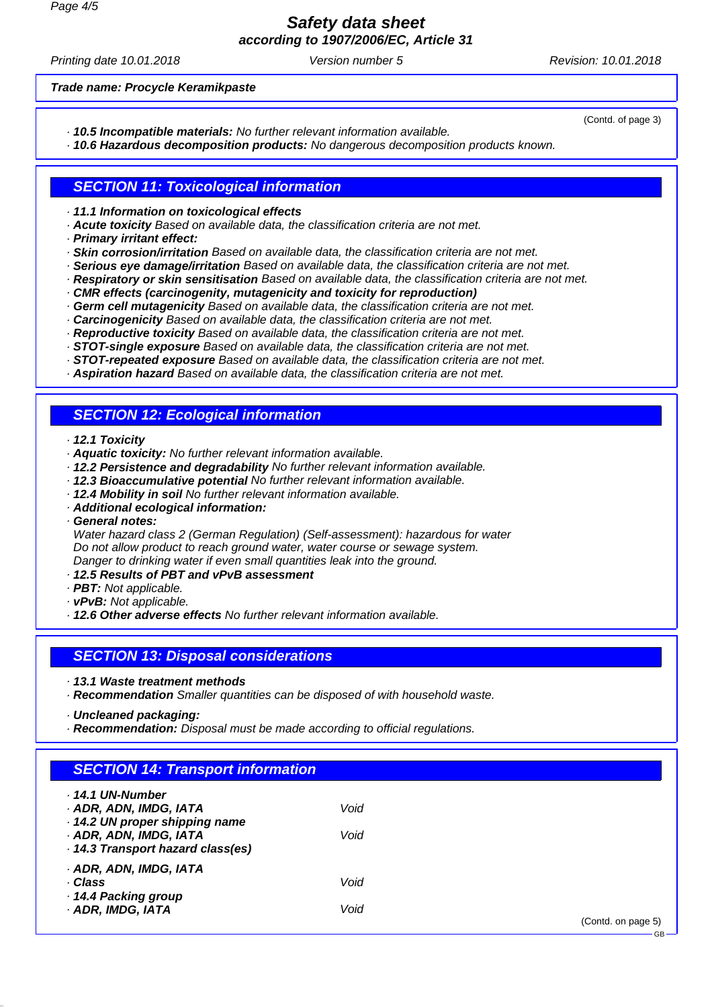**Safety data sheet according to 1907/2006/EC, Article 31**

Printing date 10.01.2018 **Version number 5** Revision: 10.01.2018

(Contd. of page 3)

GB

**Trade name: Procycle Keramikpaste**

- · **10.5 Incompatible materials:** No further relevant information available.
- · **10.6 Hazardous decomposition products:** No dangerous decomposition products known.

#### **SECTION 11: Toxicological information**

- · **11.1 Information on toxicological effects**
- · **Acute toxicity** Based on available data, the classification criteria are not met.
- · **Primary irritant effect:**
- · **Skin corrosion/irritation** Based on available data, the classification criteria are not met.
- · **Serious eye damage/irritation** Based on available data, the classification criteria are not met.
- · **Respiratory or skin sensitisation** Based on available data, the classification criteria are not met.
- · **CMR effects (carcinogenity, mutagenicity and toxicity for reproduction)**
- · **Germ cell mutagenicity** Based on available data, the classification criteria are not met.
- · **Carcinogenicity** Based on available data, the classification criteria are not met.
- · **Reproductive toxicity** Based on available data, the classification criteria are not met.
- · **STOT-single exposure** Based on available data, the classification criteria are not met.
- · **STOT-repeated exposure** Based on available data, the classification criteria are not met.
- · **Aspiration hazard** Based on available data, the classification criteria are not met.

# **SECTION 12: Ecological information**

- · **12.1 Toxicity**
- · **Aquatic toxicity:** No further relevant information available.
- · **12.2 Persistence and degradability** No further relevant information available.
- · **12.3 Bioaccumulative potential** No further relevant information available.
- · **12.4 Mobility in soil** No further relevant information available.
- · **Additional ecological information:**
- · **General notes:**

Water hazard class 2 (German Regulation) (Self-assessment): hazardous for water Do not allow product to reach ground water, water course or sewage system. Danger to drinking water if even small quantities leak into the ground.

- · **12.5 Results of PBT and vPvB assessment**
- · **PBT:** Not applicable.
- · **vPvB:** Not applicable.
- · **12.6 Other adverse effects** No further relevant information available.

#### **SECTION 13: Disposal considerations**

- · **13.1 Waste treatment methods**
- · **Recommendation** Smaller quantities can be disposed of with household waste.
- · **Uncleaned packaging:**
- · **Recommendation:** Disposal must be made according to official regulations.

| <b>SECTION 14: Transport information</b>                                                                                                          |              |                    |
|---------------------------------------------------------------------------------------------------------------------------------------------------|--------------|--------------------|
| $\cdot$ 14.1 UN-Number<br>· ADR, ADN, IMDG, IATA<br>· 14.2 UN proper shipping name<br>· ADR, ADN, IMDG, IATA<br>· 14.3 Transport hazard class(es) | Void<br>Void |                    |
| · ADR, ADN, IMDG, IATA<br>· Class<br>14.4 Packing group<br>· ADR, IMDG, IATA                                                                      | Void<br>Void | (Contd. on page 5) |